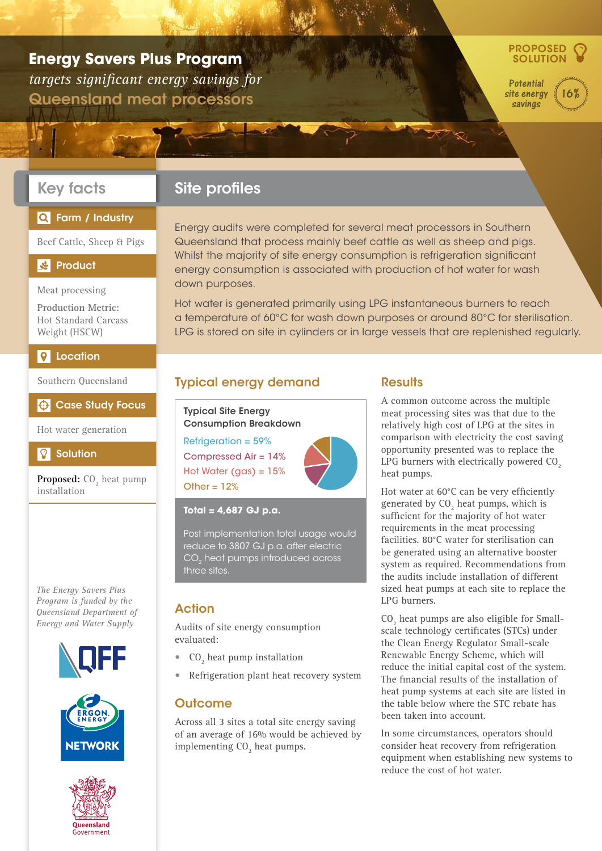# **Energy Savers Plus Program**

*targets significant energy savings for* Queensland meat processors



16%

**Potential** site energy savings

## Key facts

## Q Farm / Industry

Beef Cattle, Sheep & Pigs

#### $\frac{d}{dx}$ **Product**

Meat processing

**Production Metric:**  Hot Standard Carcass Weight (HSCW)

#### **P** Location

Southern Queensland

#### $\bigoplus$  Case Study Focus

Hot water generation

#### $\Omega$ **Solution**

**Proposed:** CO<sub>2</sub> heat pump installation

*The Energy Savers Plus Program is funded by the Queensland Department of Energy and Water Supply*





## Site profiles

Energy audits were completed for several meat processors in Southern Queensland that process mainly beef cattle as well as sheep and pigs. Whilst the majority of site energy consumption is refrigeration significant energy consumption is associated with production of hot water for wash down purposes.

Hot water is generated primarily using LPG instantaneous burners to reach a temperature of 60°C for wash down purposes or around 80°C for sterilisation. LPG is stored on site in cylinders or in large vessels that are replenished regularly.

## Typical energy demand

Typical Site Energy Consumption Breakdown

Refrigeration = 59% Compressed Air = 14% Hot Water (gas) =  $15%$ Other =  $12%$ 



#### **Total = 4,687 GJ p.a.**

Post implementation total usage would reduce to 3807 GJ p.a. after electric CO<sub>2</sub> heat pumps introduced across three sites.

#### Action

Audits of site energy consumption evaluated:

- $CO<sub>2</sub>$  heat pump installation
- Refrigeration plant heat recovery system

## **Outcome**

Across all 3 sites a total site energy saving of an average of 16% would be achieved by implementing  $CO<sub>2</sub>$  heat pumps.

#### **Results**

A common outcome across the multiple meat processing sites was that due to the relatively high cost of LPG at the sites in comparison with electricity the cost saving opportunity presented was to replace the LPG burners with electrically powered  $CO<sub>2</sub>$ heat pumps.

Hot water at 60°C can be very efficiently generated by  $CO<sub>2</sub>$  heat pumps, which is sufficient for the majority of hot water requirements in the meat processing facilities. 80°C water for sterilisation can be generated using an alternative booster system as required. Recommendations from the audits include installation of different sized heat pumps at each site to replace the LPG burners.

 $CO<sub>2</sub>$  heat pumps are also eligible for Smallscale technology certificates (STCs) under the Clean Energy Regulator Small-scale Renewable Energy Scheme, which will reduce the initial capital cost of the system. The financial results of the installation of heat pump systems at each site are listed in the table below where the STC rebate has been taken into account.

In some circumstances, operators should consider heat recovery from refrigeration equipment when establishing new systems to reduce the cost of hot water.